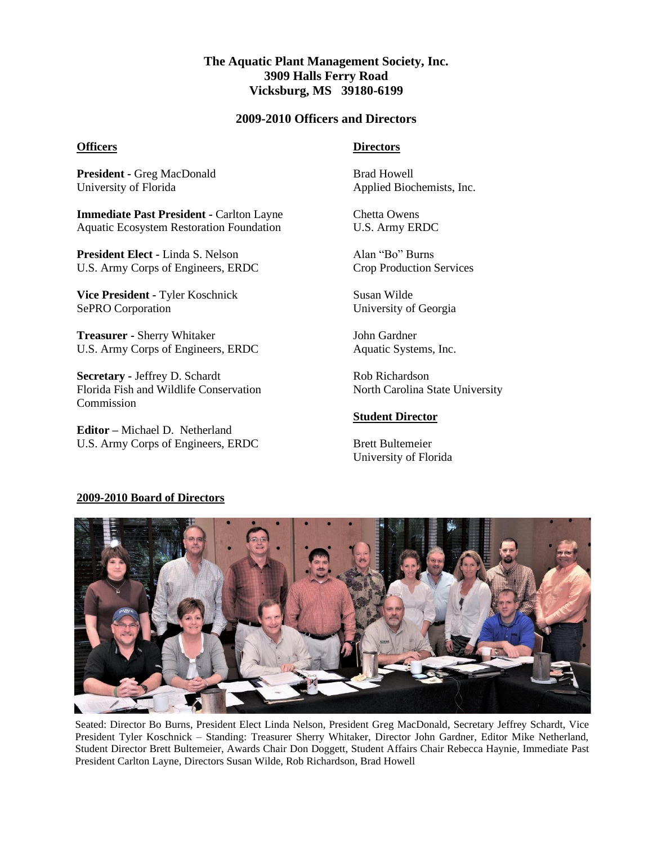## **The Aquatic Plant Management Society, Inc. 3909 Halls Ferry Road Vicksburg, MS 39180-6199**

## **2009-2010 Officers and Directors**

#### **Officers**

## **Directors**

Brad Howell Applied Biochemists, Inc.

Chetta Owens U.S. Army ERDC

Alan "Bo" Burns Crop Production Services

Susan Wilde University of Georgia

John Gardner Aquatic Systems, Inc.

Rob Richardson North Carolina State University

#### **Student Director**

Brett Bultemeier University of Florida



**Immediate Past President -** Carlton Layne Aquatic Ecosystem Restoration Foundation

**President Elect -** Linda S. Nelson U.S. Army Corps of Engineers, ERDC

**Vice President -** Tyler Koschnick SePRO Corporation

**Treasurer -** Sherry Whitaker U.S. Army Corps of Engineers, ERDC

**Secretary -** Jeffrey D. Schardt Florida Fish and Wildlife Conservation **Commission** 

**Editor –** Michael D. Netherland U.S. Army Corps of Engineers, ERDC



Seated: Director Bo Burns, President Elect Linda Nelson, President Greg MacDonald, Secretary Jeffrey Schardt, Vice President Tyler Koschnick – Standing: Treasurer Sherry Whitaker, Director John Gardner, Editor Mike Netherland, Student Director Brett Bultemeier, Awards Chair Don Doggett, Student Affairs Chair Rebecca Haynie, Immediate Past President Carlton Layne, Directors Susan Wilde, Rob Richardson, Brad Howell

## **2009-2010 Board of Directors**